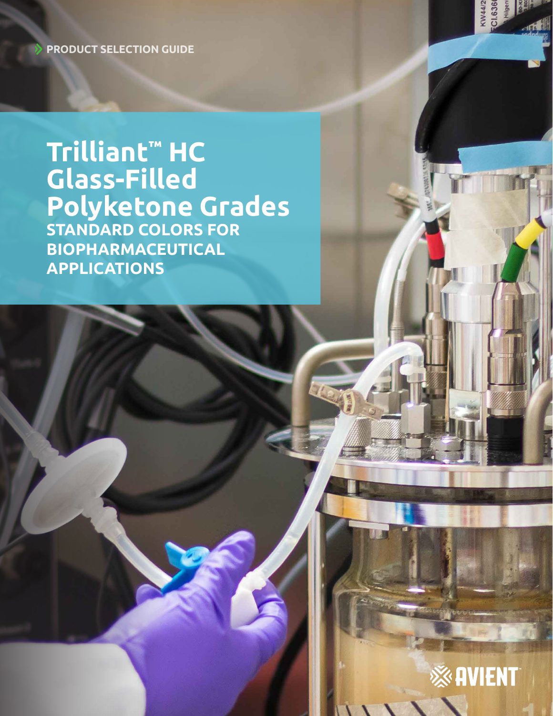**PRODUCT SELECTION GUIDE**

**Trilliant™ HC Glass-Filled Polyketone Grades STANDARD COLORS FOR BIOPHARMACEUTICAL APPLICATIONS**



KW44/2